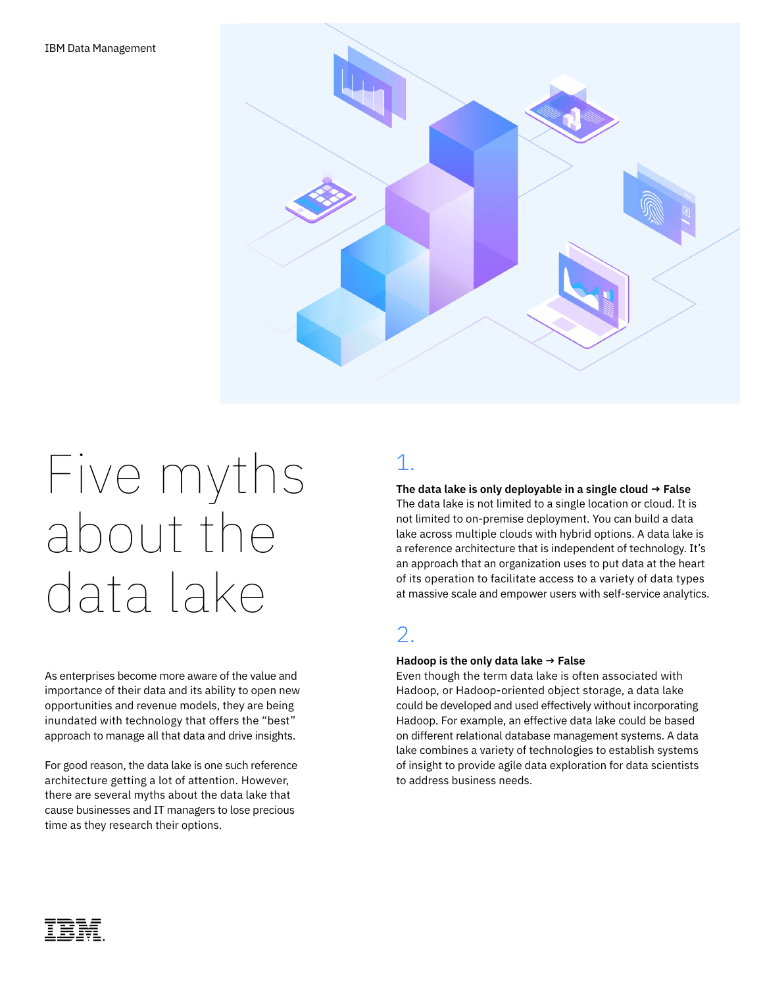

# Five myths about the data lake

As enterprises become more aware of the value and importance of their data and its ability to open new opportunities and revenue models, they are being inundated with technology that offers the "best" approach to manage all that data and drive insights.

For good reason, the data lake is one such reference architecture getting a lot of attention. However, there are several myths about the data lake that cause businesses and IT managers to lose precious time as they research their options.

# 1.

### **The data lake is only deployable in a single cloud → False** The data lake is not limited to a single location or cloud. It is not limited to on-premise deployment. You can build a data

lake across multiple clouds with hybrid options. A data lake is a reference architecture that is independent of technology. It's an approach that an organization uses to put data at the heart of its operation to facilitate access to a variety of data types at massive scale and empower users with self-service analytics.

## 2.

#### **Hadoop is the only data lake → False**

Even though the term data lake is often associated with Hadoop, or Hadoop-oriented object storage, a data lake could be developed and used effectively without incorporating Hadoop. For example, an effective data lake could be based on different relational database management systems. A data lake combines a variety of technologies to establish systems of insight to provide agile data exploration for data scientists to address business needs.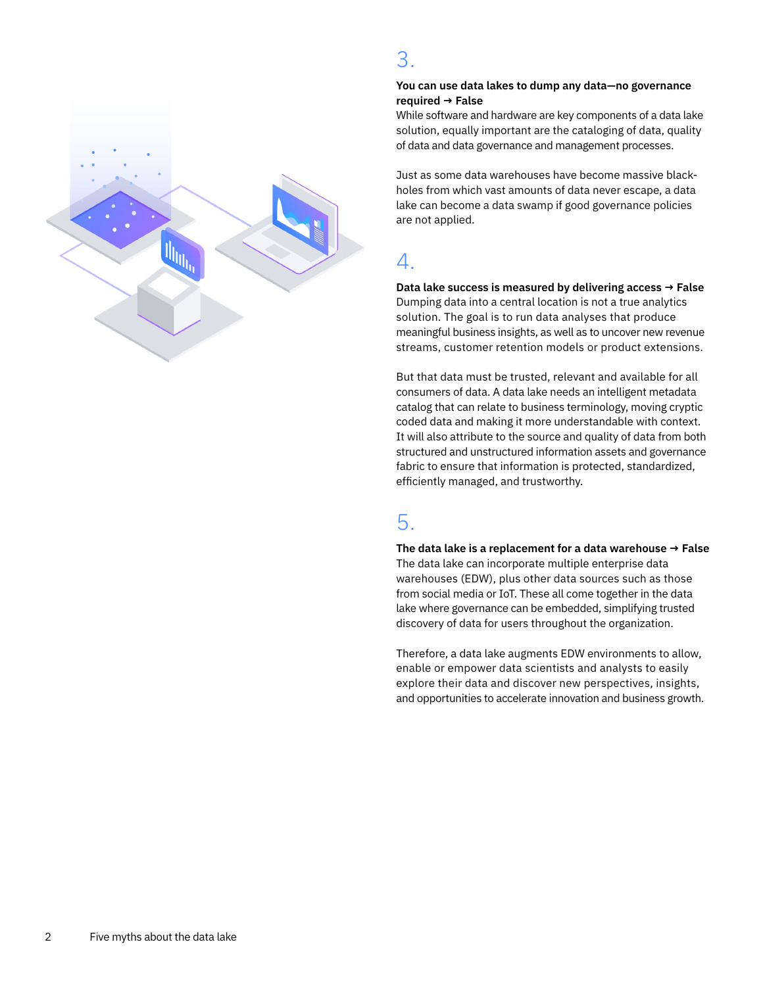

## 3.

#### **You can use data lakes to dump any data—no governance required → False**

While software and hardware are key components of a data lake solution, equally important are the cataloging of data, quality of data and data governance and management processes.

Just as some data warehouses have become massive blackholes from which vast amounts of data never escape, a data lake can become a data swamp if good governance policies are not applied.

## 4.

**Data lake success is measured by delivering access → False** Dumping data into a central location is not a true analytics solution. The goal is to run data analyses that produce meaningful business insights, as well as to uncover new revenue streams, customer retention models or product extensions.

But that data must be trusted, relevant and available for all consumers of data. A data lake needs an intelligent metadata catalog that can relate to business terminology, moving cryptic coded data and making it more understandable with context. It will also attribute to the source and quality of data from both structured and unstructured information assets and governance fabric to ensure that information is protected, standardized, efficiently managed, and trustworthy.

## 5.

**The data lake is a replacement for a data warehouse → False** The data lake can incorporate multiple enterprise data warehouses (EDW), plus other data sources such as those from social media or IoT. These all come together in the data lake where governance can be embedded, simplifying trusted discovery of data for users throughout the organization.

Therefore, a data lake augments EDW environments to allow, enable or empower data scientists and analysts to easily explore their data and discover new perspectives, insights, and opportunities to accelerate innovation and business growth.